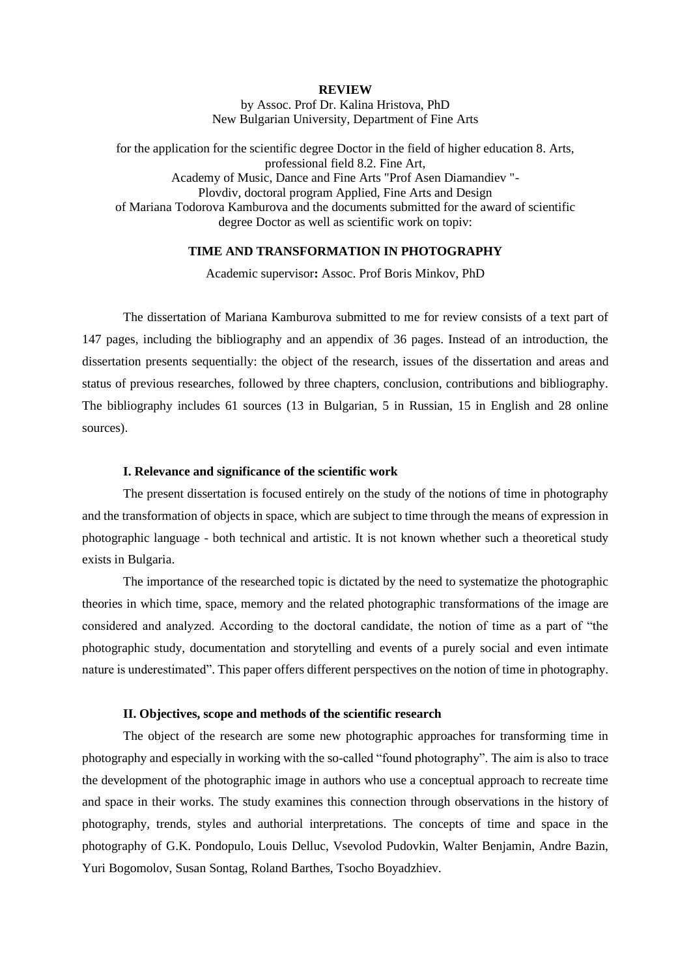### **REVIEW**

by Assoc. Prof Dr. Kalina Hristova, PhD New Bulgarian University, Department of Fine Arts

for the application for the scientific degree Doctor in the field of higher education 8. Arts, professional field 8.2. Fine Art, Academy of Music, Dance and Fine Arts "Prof Asen Diamandiev "- Plovdiv, doctoral program Applied, Fine Arts and Design of Mariana Todorova Kamburova and the documents submitted for the award of scientific degree Doctor as well as scientific work on topiv:

## **TIME AND TRANSFORMATION IN PHOTOGRAPHY**

Academic supervisor**:** Assoc. Prof Boris Minkov, PhD

The dissertation of Mariana Kamburova submitted to me for review consists of a text part of 147 pages, including the bibliography and an appendix of 36 pages. Instead of an introduction, the dissertation presents sequentially: the object of the research, issues of the dissertation and areas and status of previous researches, followed by three chapters, conclusion, contributions and bibliography. The bibliography includes 61 sources (13 in Bulgarian, 5 in Russian, 15 in English and 28 online sources).

#### **I. Relevance and significance of the scientific work**

The present dissertation is focused entirely on the study of the notions of time in photography and the transformation of objects in space, which are subject to time through the means of expression in photographic language - both technical and artistic. It is not known whether such a theoretical study exists in Bulgaria.

The importance of the researched topic is dictated by the need to systematize the photographic theories in which time, space, memory and the related photographic transformations of the image are considered and analyzed. According to the doctoral candidate, the notion of time as a part of "the photographic study, documentation and storytelling and events of a purely social and even intimate nature is underestimated". This paper offers different perspectives on the notion of time in photography.

#### **II. Objectives, scope and methods of the scientific research**

The object of the research are some new photographic approaches for transforming time in photography and especially in working with the so-called "found photography". The aim is also to trace the development of the photographic image in authors who use a conceptual approach to recreate time and space in their works. The study examines this connection through observations in the history of photography, trends, styles and authorial interpretations. The concepts of time and space in the photography of G.K. Pondopulo, Louis Delluc, Vsevolod Pudovkin, Walter Benjamin, Andre Bazin, Yuri Bogomolov, Susan Sontag, Roland Barthes, Tsocho Boyadzhiev.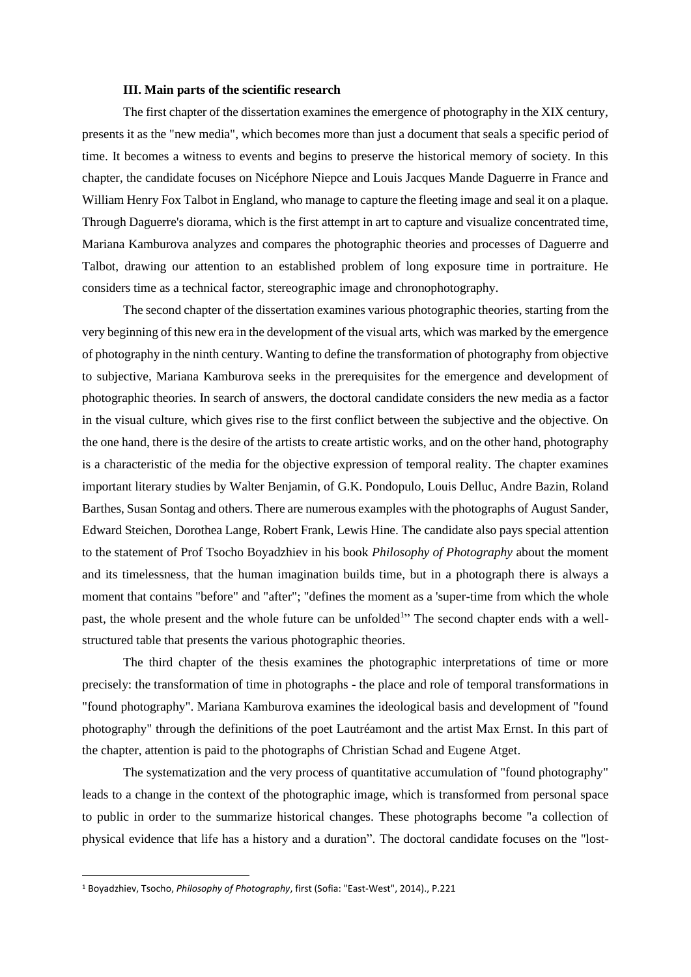### **III. Main parts of the scientific research**

The first chapter of the dissertation examines the emergence of photography in the XIX century, presents it as the "new media", which becomes more than just a document that seals a specific period of time. It becomes a witness to events and begins to preserve the historical memory of society. In this chapter, the candidate focuses on Nicéphore Niepce and Louis Jacques Mande Daguerre in France and William Henry Fox Talbot in England, who manage to capture the fleeting image and seal it on a plaque. Through Daguerre's diorama, which is the first attempt in art to capture and visualize concentrated time, Mariana Kamburova analyzes and compares the photographic theories and processes of Daguerre and Talbot, drawing our attention to an established problem of long exposure time in portraiture. He considers time as a technical factor, stereographic image and chronophotography.

The second chapter of the dissertation examines various photographic theories, starting from the very beginning of this new era in the development of the visual arts, which was marked by the emergence of photography in the ninth century. Wanting to define the transformation of photography from objective to subjective, Mariana Kamburova seeks in the prerequisites for the emergence and development of photographic theories. In search of answers, the doctoral candidate considers the new media as a factor in the visual culture, which gives rise to the first conflict between the subjective and the objective. On the one hand, there is the desire of the artists to create artistic works, and on the other hand, photography is a characteristic of the media for the objective expression of temporal reality. The chapter examines important literary studies by Walter Benjamin, of G.K. Pondopulo, Louis Delluc, Andre Bazin, Roland Barthes, Susan Sontag and others. There are numerous examples with the photographs of August Sander, Edward Steichen, Dorothea Lange, Robert Frank, Lewis Hine. The candidate also pays special attention to the statement of Prof Tsocho Boyadzhiev in his book *Philosophy of Photography* about the moment and its timelessness, that the human imagination builds time, but in a photograph there is always a moment that contains "before" and "after"; "defines the moment as a 'super-time from which the whole past, the whole present and the whole future can be unfolded<sup>1</sup>" The second chapter ends with a wellstructured table that presents the various photographic theories.

The third chapter of the thesis examines the photographic interpretations of time or more precisely: the transformation of time in photographs - the place and role of temporal transformations in "found photography". Mariana Kamburova examines the ideological basis and development of "found photography" through the definitions of the poet Lautréamont and the artist Max Ernst. In this part of the chapter, attention is paid to the photographs of Christian Schad and Eugene Atget.

The systematization and the very process of quantitative accumulation of "found photography" leads to a change in the context of the photographic image, which is transformed from personal space to public in order to the summarize historical changes. These photographs become "a collection of physical evidence that life has a history and a duration". The doctoral candidate focuses on the "lost-

<sup>1</sup> Boyadzhiev, Tsocho, *Philosophy of Photography*, first (Sofia: "East-West", 2014)., P.221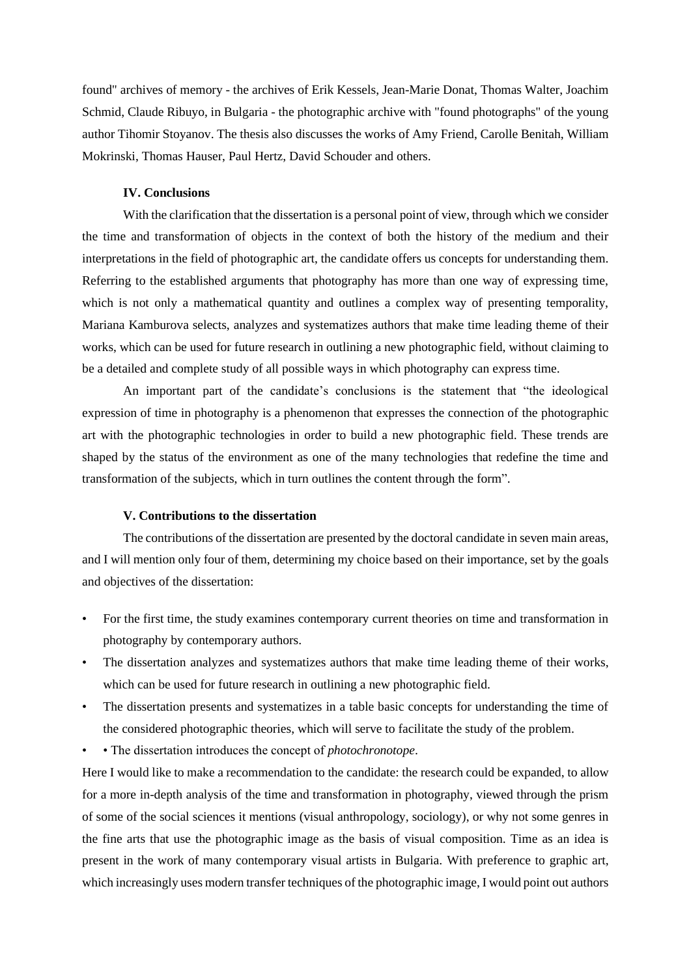found" archives of memory - the archives of Erik Kessels, Jean-Marie Donat, Thomas Walter, Joachim Schmid, Claude Ribuyo, in Bulgaria - the photographic archive with "found photographs" of the young author Tihomir Stoyanov. The thesis also discusses the works of Amy Friend, Carolle Benitah, William Mokrinski, Thomas Hauser, Paul Hertz, David Schouder and others.

### **IV. Conclusions**

With the clarification that the dissertation is a personal point of view, through which we consider the time and transformation of objects in the context of both the history of the medium and their interpretations in the field of photographic art, the candidate offers us concepts for understanding them. Referring to the established arguments that photography has more than one way of expressing time, which is not only a mathematical quantity and outlines a complex way of presenting temporality, Mariana Kamburova selects, analyzes and systematizes authors that make time leading theme of their works, which can be used for future research in outlining a new photographic field, without claiming to be a detailed and complete study of all possible ways in which photography can express time.

An important part of the candidate's conclusions is the statement that "the ideological expression of time in photography is a phenomenon that expresses the connection of the photographic art with the photographic technologies in order to build a new photographic field. These trends are shaped by the status of the environment as one of the many technologies that redefine the time and transformation of the subjects, which in turn outlines the content through the form".

## **V. Contributions to the dissertation**

The contributions of the dissertation are presented by the doctoral candidate in seven main areas, and I will mention only four of them, determining my choice based on their importance, set by the goals and objectives of the dissertation:

- For the first time, the study examines contemporary current theories on time and transformation in photography by contemporary authors.
- The dissertation analyzes and systematizes authors that make time leading theme of their works, which can be used for future research in outlining a new photographic field.
- The dissertation presents and systematizes in a table basic concepts for understanding the time of the considered photographic theories, which will serve to facilitate the study of the problem.
- • The dissertation introduces the concept of *photochronotope*.

Here I would like to make a recommendation to the candidate: the research could be expanded, to allow for a more in-depth analysis of the time and transformation in photography, viewed through the prism of some of the social sciences it mentions (visual anthropology, sociology), or why not some genres in the fine arts that use the photographic image as the basis of visual composition. Time as an idea is present in the work of many contemporary visual artists in Bulgaria. With preference to graphic art, which increasingly uses modern transfer techniques of the photographic image, I would point out authors